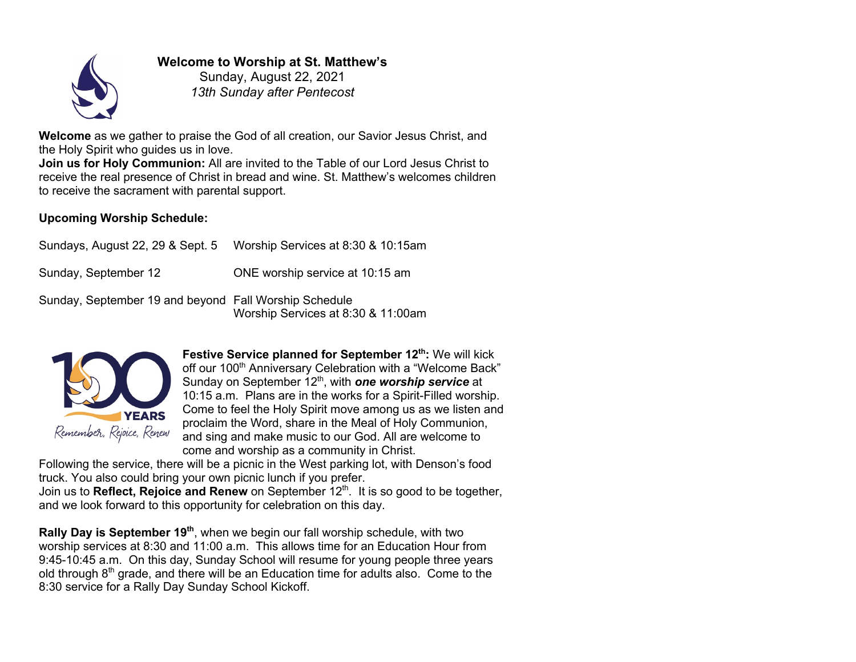

# **Welcome to Worship at St. Matthew's**

Sunday, August 22, 2021 *13th Sunday after Pentecost*

**Welcome** as we gather to praise the God of all creation, our Savior Jesus Christ, and the Holy Spirit who guides us in love.

**Join us for Holy Communion:** All are invited to the Table of our Lord Jesus Christ to receive the real presence of Christ in bread and wine. St. Matthew's welcomes children to receive the sacrament with parental support.

### **Upcoming Worship Schedule:**

| Sundays, August 22, 29 & Sept. 5                      | Worship Services at 8:30 & 10:15am |
|-------------------------------------------------------|------------------------------------|
| Sunday, September 12                                  | ONE worship service at 10:15 am    |
| Sunday, September 19 and beyond Fall Worship Schedule |                                    |

Worship Services at 8:30 & 11:00am



**Festive Service planned for September 12<sup>th</sup>: We will kick** off our 100<sup>th</sup> Anniversary Celebration with a "Welcome Back" Sunday on September 12<sup>th</sup>, with **one worship service** at 10:15 a.m. Plans are in the works for a Spirit-Filled worship. Come to feel the Holy Spirit move among us as we listen and proclaim the Word, share in the Meal of Holy Communion, and sing and make music to our God. All are welcome to come and worship as a community in Christ.

Following the service, there will be a picnic in the West parking lot, with Denson's food truck. You also could bring your own picnic lunch if you prefer.

Join us to **Reflect, Rejoice and Renew** on September 12<sup>th</sup>. It is so good to be together, and we look forward to this opportunity for celebration on this day.

**Rally Day is September 19<sup>th</sup>**, when we begin our fall worship schedule, with two worship services at 8:30 and 11:00 a.m. This allows time for an Education Hour from 9:45-10:45 a.m. On this day, Sunday School will resume for young people three years old through  $8<sup>th</sup>$  grade, and there will be an Education time for adults also. Come to the 8:30 service for a Rally Day Sunday School Kickoff.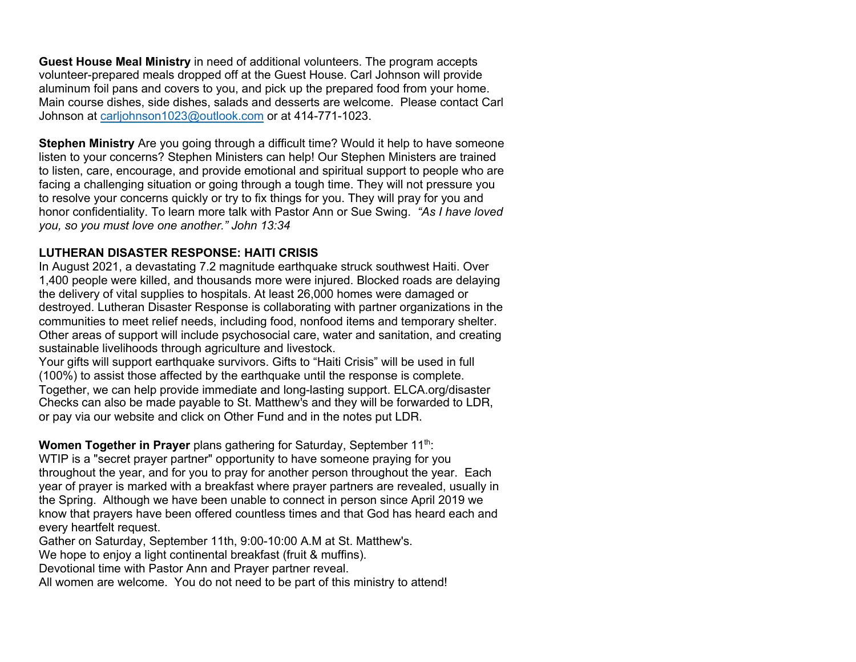**Guest House Meal Ministry** in need of additional volunteers. The program accepts volunteer-prepared meals dropped off at the Guest House. Carl Johnson will provide aluminum foil pans and covers to you, and pick up the prepared food from your home. Main course dishes, side dishes, salads and desserts are welcome. Please contact Carl Johnson at carljohnson1023@outlook.com or at 414-771-1023.

**Stephen Ministry** Are you going through a difficult time? Would it help to have someone listen to your concerns? Stephen Ministers can help! Our Stephen Ministers are trained to listen, care, encourage, and provide emotional and spiritual support to people who are facing a challenging situation or going through a tough time. They will not pressure you to resolve your concerns quickly or try to fix things for you. They will pray for you and honor confidentiality. To learn more talk with Pastor Ann or Sue Swing. *"As I have loved you, so you must love one another." John 13:34*

### **LUTHERAN DISASTER RESPONSE: HAITI CRISIS**

In August 2021, a devastating 7.2 magnitude earthquake struck southwest Haiti. Over 1,400 people were killed, and thousands more were injured. Blocked roads are delaying the delivery of vital supplies to hospitals. At least 26,000 homes were damaged or destroyed. Lutheran Disaster Response is collaborating with partner organizations in the communities to meet relief needs, including food, nonfood items and temporary shelter. Other areas of support will include psychosocial care, water and sanitation, and creating sustainable livelihoods through agriculture and livestock.

Your gifts will support earthquake survivors. Gifts to "Haiti Crisis" will be used in full (100%) to assist those affected by the earthquake until the response is complete. Together, we can help provide immediate and long-lasting support. ELCA.org/disaster Checks can also be made payable to St. Matthew's and they will be forwarded to LDR, or pay via our website and click on Other Fund and in the notes put LDR.

### **Women Together in Prayer** plans gathering for Saturday, September 11<sup>th</sup>:

WTIP is a "secret prayer partner" opportunity to have someone praying for you throughout the year, and for you to pray for another person throughout the year. Each year of prayer is marked with a breakfast where prayer partners are revealed, usually in the Spring. Although we have been unable to connect in person since April 2019 we know that prayers have been offered countless times and that God has heard each and every heartfelt request.

Gather on Saturday, September 11th, 9:00-10:00 A.M at St. Matthew's.

We hope to enjoy a light continental breakfast (fruit & muffins).

Devotional time with Pastor Ann and Prayer partner reveal.

All women are welcome. You do not need to be part of this ministry to attend!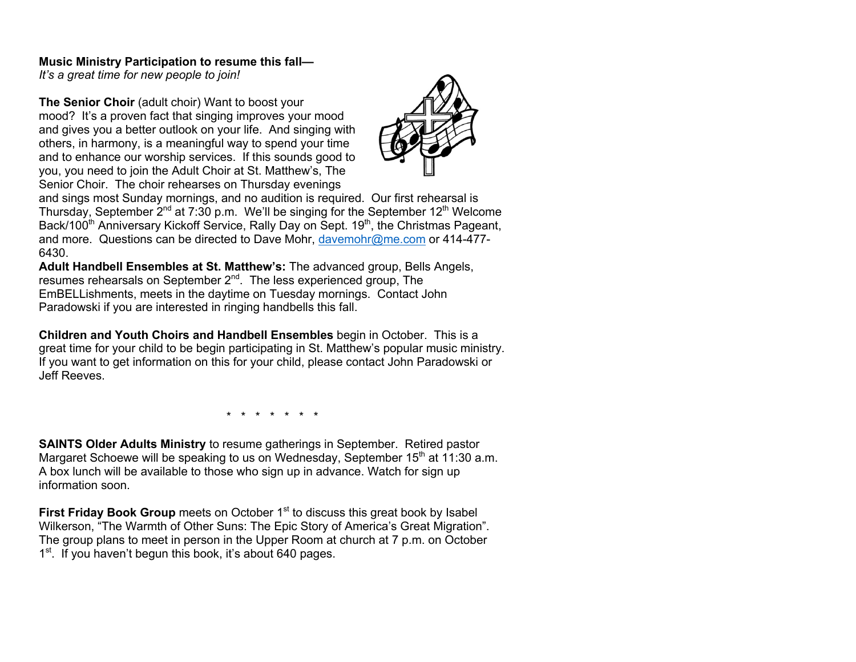#### **Music Ministry Participation to resume this fall—**

*It's a great time for new people to join!* 

**The Senior Choir** (adult choir) Want to boost your mood? It's a proven fact that singing improves your mood and gives you a better outlook on your life. And singing with others, in harmony, is a meaningful way to spend your time and to enhance our worship services. If this sounds good to you, you need to join the Adult Choir at St. Matthew's, The Senior Choir. The choir rehearses on Thursday evenings



and sings most Sunday mornings, and no audition is required. Our first rehearsal is Thursday, September  $2^{nd}$  at 7:30 p.m. We'll be singing for the September 12<sup>th</sup> Welcome Back/100<sup>th</sup> Anniversary Kickoff Service, Rally Day on Sept. 19<sup>th</sup>, the Christmas Pageant, and more. Questions can be directed to Dave Mohr, davemohr@me.com or 414-477- 6430.

**Adult Handbell Ensembles at St. Matthew's:** The advanced group, Bells Angels, resumes rehearsals on September 2<sup>nd</sup>. The less experienced group, The EmBELLishments, meets in the daytime on Tuesday mornings. Contact John Paradowski if you are interested in ringing handbells this fall.

**Children and Youth Choirs and Handbell Ensembles** begin in October. This is a great time for your child to be begin participating in St. Matthew's popular music ministry. If you want to get information on this for your child, please contact John Paradowski or Jeff Reeves.

\* \* \* \* \* \* \*

**SAINTS Older Adults Ministry** to resume gatherings in September. Retired pastor Margaret Schoewe will be speaking to us on Wednesday, September  $15<sup>th</sup>$  at 11:30 a.m. A box lunch will be available to those who sign up in advance. Watch for sign up information soon.

**First Friday Book Group** meets on October 1<sup>st</sup> to discuss this great book by Isabel Wilkerson, "The Warmth of Other Suns: The Epic Story of America's Great Migration". The group plans to meet in person in the Upper Room at church at 7 p.m. on October 1<sup>st</sup>. If you haven't begun this book, it's about 640 pages.